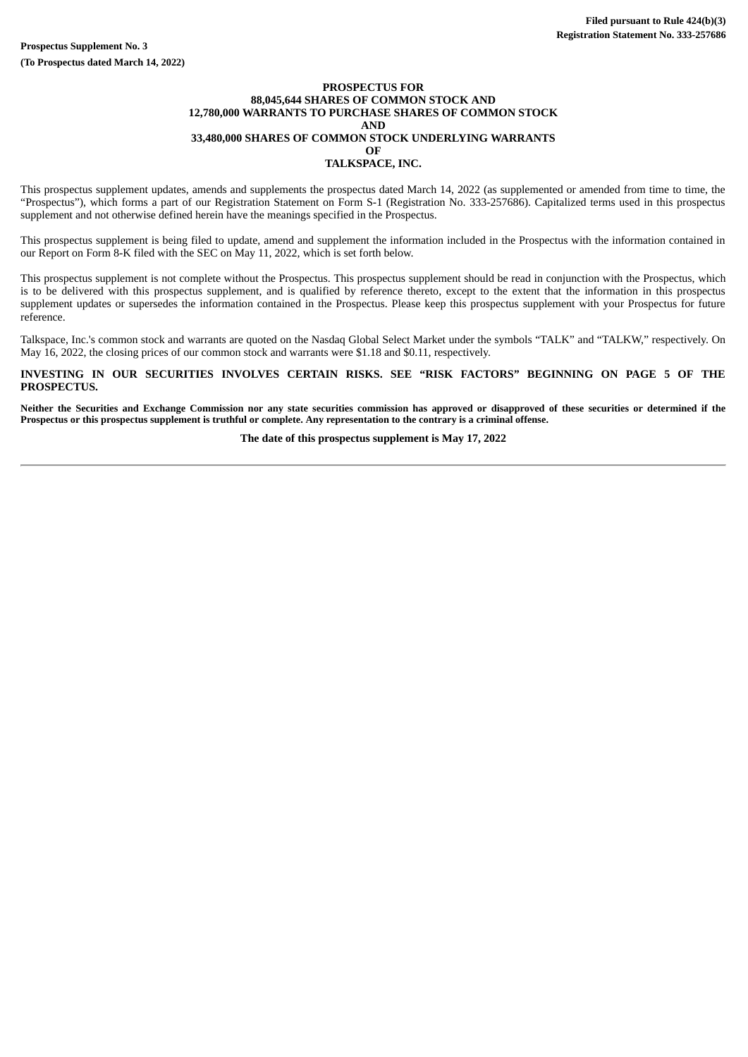#### **PROSPECTUS FOR 88,045,644 SHARES OF COMMON STOCK AND 12,780,000 WARRANTS TO PURCHASE SHARES OF COMMON STOCK AND 33,480,000 SHARES OF COMMON STOCK UNDERLYING WARRANTS OF TALKSPACE, INC.**

This prospectus supplement updates, amends and supplements the prospectus dated March 14, 2022 (as supplemented or amended from time to time, the "Prospectus"), which forms a part of our Registration Statement on Form S-1 (Registration No. 333-257686). Capitalized terms used in this prospectus supplement and not otherwise defined herein have the meanings specified in the Prospectus.

This prospectus supplement is being filed to update, amend and supplement the information included in the Prospectus with the information contained in our Report on Form 8-K filed with the SEC on May 11, 2022, which is set forth below.

This prospectus supplement is not complete without the Prospectus. This prospectus supplement should be read in conjunction with the Prospectus, which is to be delivered with this prospectus supplement, and is qualified by reference thereto, except to the extent that the information in this prospectus supplement updates or supersedes the information contained in the Prospectus. Please keep this prospectus supplement with your Prospectus for future reference.

Talkspace, Inc.'s common stock and warrants are quoted on the Nasdaq Global Select Market under the symbols "TALK" and "TALKW," respectively. On May 16, 2022, the closing prices of our common stock and warrants were \$1.18 and \$0.11, respectively.

**INVESTING IN OUR SECURITIES INVOLVES CERTAIN RISKS. SEE "RISK FACTORS" BEGINNING ON PAGE 5 OF THE PROSPECTUS.**

**Neither the Securities and Exchange Commission nor any state securities commission has approved or disapproved of these securities or determined if the Prospectus or this prospectus supplement is truthful or complete. Any representation to the contrary is a criminal offense.**

**The date of this prospectus supplement is May 17, 2022**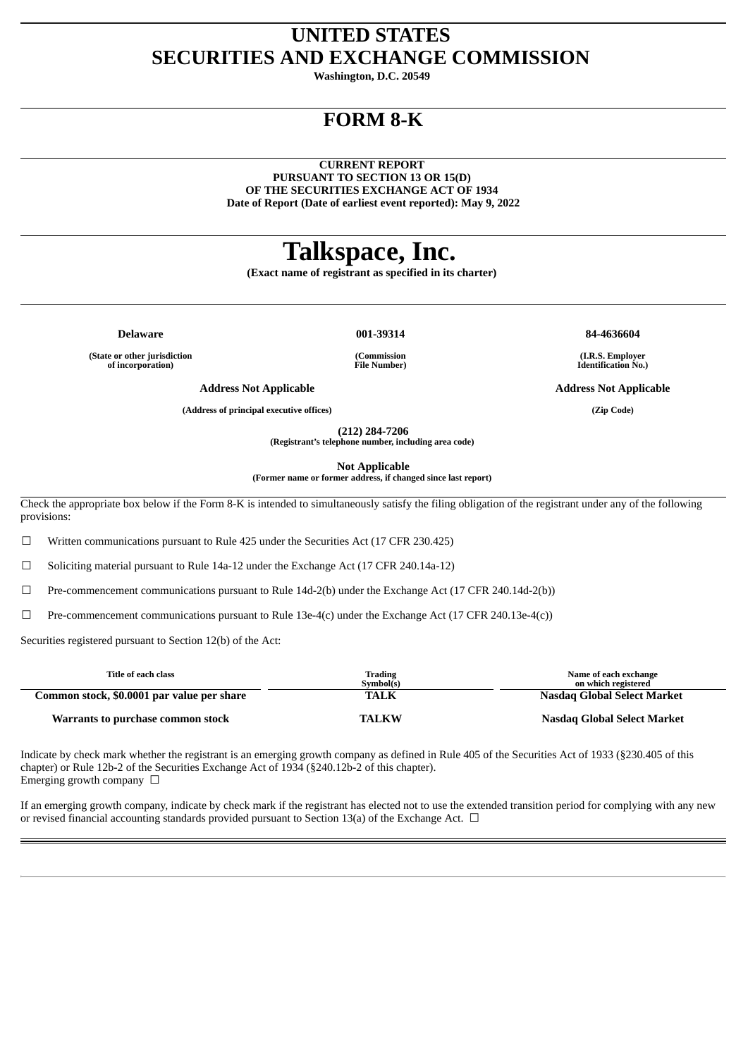## **UNITED STATES SECURITIES AND EXCHANGE COMMISSION**

**Washington, D.C. 20549**

# **FORM 8-K**

**CURRENT REPORT PURSUANT TO SECTION 13 OR 15(D) OF THE SECURITIES EXCHANGE ACT OF 1934 Date of Report (Date of earliest event reported): May 9, 2022**

# **Talkspace, Inc.**

**(Exact name of registrant as specified in its charter)**

**Delaware 001-39314 84-4636604 (State or other jurisdiction**

**of incorporation)**

**(Commission File Number)**

**(I.R.S. Employer Identification No.)**

**Address Not Applicable Address Not Applicable**

**(Address of principal executive offices) (Zip Code)**

**(212) 284-7206 (Registrant's telephone number, including area code)**

**Not Applicable**

**(Former name or former address, if changed since last report)**

Check the appropriate box below if the Form 8-K is intended to simultaneously satisfy the filing obligation of the registrant under any of the following provisions:

 $\Box$  Written communications pursuant to Rule 425 under the Securities Act (17 CFR 230.425)

☐ Soliciting material pursuant to Rule 14a-12 under the Exchange Act (17 CFR 240.14a-12)

 $\Box$  Pre-commencement communications pursuant to Rule 14d-2(b) under the Exchange Act (17 CFR 240.14d-2(b))

☐ Pre-commencement communications pursuant to Rule 13e-4(c) under the Exchange Act (17 CFR 240.13e-4(c))

Securities registered pursuant to Section 12(b) of the Act:

| Title of each class                        | Trading<br>Symbol(s) | Name of each exchange<br>on which registered |
|--------------------------------------------|----------------------|----------------------------------------------|
| Common stock, \$0.0001 par value per share | <b>TALK</b>          | Nasdag Global Select Market                  |
| Warrants to purchase common stock          | <b>TALKW</b>         | Nasdag Global Select Market                  |

Indicate by check mark whether the registrant is an emerging growth company as defined in Rule 405 of the Securities Act of 1933 (§230.405 of this chapter) or Rule 12b-2 of the Securities Exchange Act of 1934 (§240.12b-2 of this chapter). Emerging growth company  $\Box$ 

If an emerging growth company, indicate by check mark if the registrant has elected not to use the extended transition period for complying with any new or revised financial accounting standards provided pursuant to Section 13(a) of the Exchange Act. □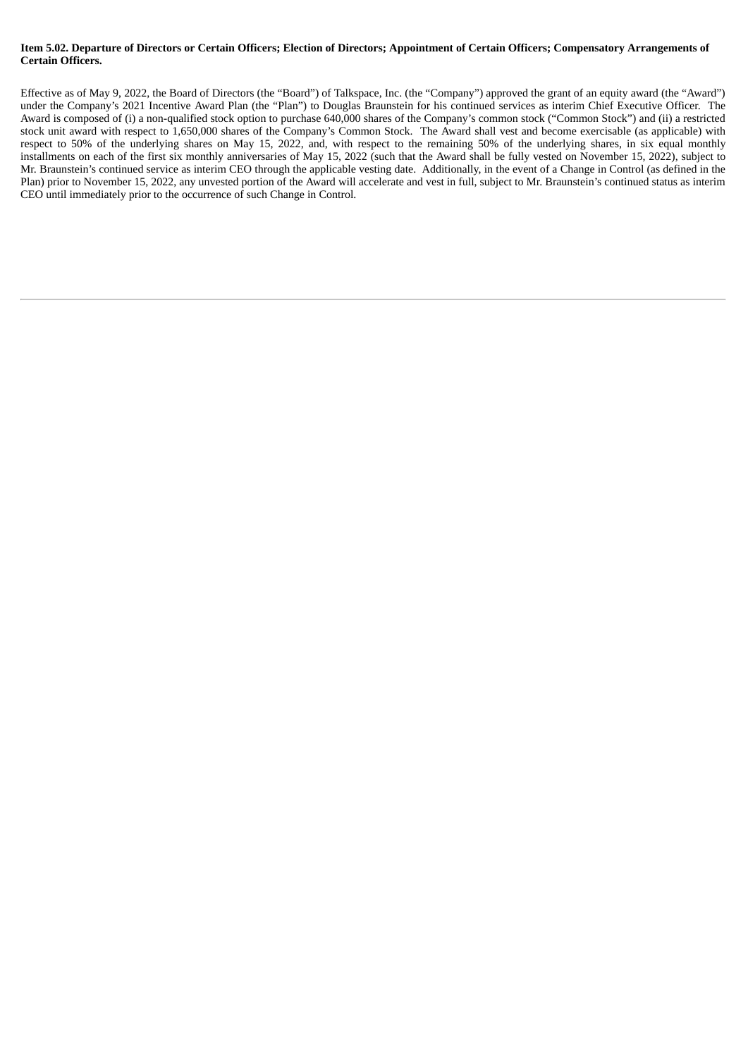### Item 5.02. Departure of Directors or Certain Officers; Election of Directors; Appointment of Certain Officers; Compensatory Arrangements of **Certain Officers.**

Effective as of May 9, 2022, the Board of Directors (the "Board") of Talkspace, Inc. (the "Company") approved the grant of an equity award (the "Award") under the Company's 2021 Incentive Award Plan (the "Plan") to Douglas Braunstein for his continued services as interim Chief Executive Officer. The Award is composed of (i) a non-qualified stock option to purchase 640,000 shares of the Company's common stock ("Common Stock") and (ii) a restricted stock unit award with respect to 1,650,000 shares of the Company's Common Stock. The Award shall vest and become exercisable (as applicable) with respect to 50% of the underlying shares on May 15, 2022, and, with respect to the remaining 50% of the underlying shares, in six equal monthly installments on each of the first six monthly anniversaries of May 15, 2022 (such that the Award shall be fully vested on November 15, 2022), subject to Mr. Braunstein's continued service as interim CEO through the applicable vesting date. Additionally, in the event of a Change in Control (as defined in the Plan) prior to November 15, 2022, any unvested portion of the Award will accelerate and vest in full, subject to Mr. Braunstein's continued status as interim CEO until immediately prior to the occurrence of such Change in Control.